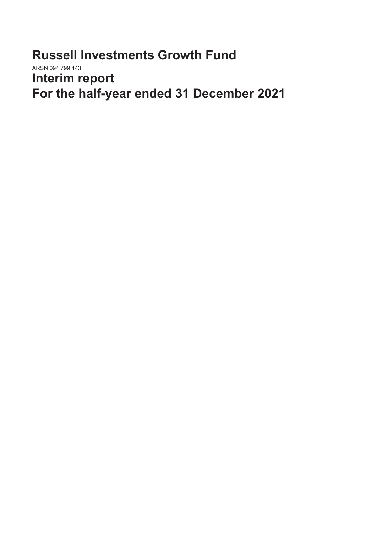**Russell Investments Growth Fund** ARSN 094 799 443 **Interim report For the half-year ended 31 December 2021**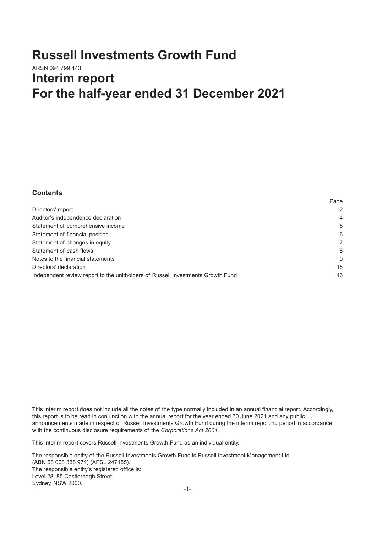# **Russell Investments Growth Fund** ARSN 094 799 443 **Interim report For the half-year ended 31 December 2021**

#### **Contents**

|                                                                                 | raye |
|---------------------------------------------------------------------------------|------|
| Directors' report                                                               | 2    |
| Auditor's independence declaration                                              | 4    |
| Statement of comprehensive income                                               | 5    |
| Statement of financial position                                                 | 6    |
| Statement of changes in equity                                                  |      |
| Statement of cash flows                                                         | 8    |
| Notes to the financial statements                                               | 9    |
| Directors' declaration                                                          | 15   |
| Independent review report to the unitholders of Russell Investments Growth Fund | 16   |

Page

This interim report does not include all the notes of the type normally included in an annual financial report. Accordingly, this report is to be read in conjunction with the annual report for the year ended 30 June 2021 and any public announcements made in respect of Russell Investments Growth Fund during the interim reporting period in accordance with the continuous disclosure requirements of the *Corporations Act 2001.*

This interim report covers Russell Investments Growth Fund as an individual entity.

The responsible entity of the Russell Investments Growth Fund is Russell Investment Management Ltd (ABN 53 068 338 974) (AFSL 247185). The responsible entity's registered office is: Level 28, 85 Castlereagh Street, Sydney, NSW 2000.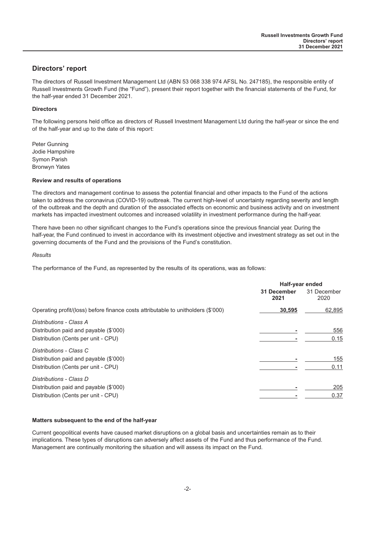#### <span id="page-2-0"></span>**Directors' report**

The directors of Russell Investment Management Ltd (ABN 53 068 338 974 AFSL No. 247185), the responsible entity of Russell Investments Growth Fund (the "Fund"), present their report together with the financial statements of the Fund, for the half-year ended 31 December 2021.

#### **Directors**

The following persons held office as directors of Russell Investment Management Ltd during the half-year or since the end of the half-year and up to the date of this report:

Peter Gunning Jodie Hampshire Symon Parish Bronwyn Yates

#### **Review and results of operations**

The directors and management continue to assess the potential financial and other impacts to the Fund of the actions taken to address the coronavirus (COVID-19) outbreak. The current high-level of uncertainty regarding severity and length of the outbreak and the depth and duration of the associated effects on economic and business activity and on investment markets has impacted investment outcomes and increased volatility in investment performance during the half-year.

There have been no other significant changes to the Fund's operations since the previous financial year. During the half-year, the Fund continued to invest in accordance with its investment objective and investment strategy as set out in the governing documents of the Fund and the provisions of the Fund's constitution.

#### *Results*

The performance of the Fund, as represented by the results of its operations, was as follows:

|                                                                                   | Half-year ended     |                     |
|-----------------------------------------------------------------------------------|---------------------|---------------------|
|                                                                                   | 31 December<br>2021 | 31 December<br>2020 |
| Operating profit/(loss) before finance costs attributable to unitholders (\$'000) | 30,595              | 62,895              |
| Distributions - Class A                                                           |                     |                     |
| Distribution paid and payable (\$'000)                                            |                     | 556                 |
| Distribution (Cents per unit - CPU)                                               |                     | 0.15                |
| Distributions - Class C                                                           |                     |                     |
| Distribution paid and payable (\$'000)                                            |                     | 155                 |
| Distribution (Cents per unit - CPU)                                               |                     | 0.11                |
| Distributions - Class D                                                           |                     |                     |
| Distribution paid and payable (\$'000)                                            |                     | 205                 |
| Distribution (Cents per unit - CPU)                                               |                     | 0.37                |

#### **Matters subsequent to the end of the half-year**

Current geopolitical events have caused market disruptions on a global basis and uncertainties remain as to their implications. These types of disruptions can adversely affect assets of the Fund and thus performance of the Fund. Management are continually monitoring the situation and will assess its impact on the Fund.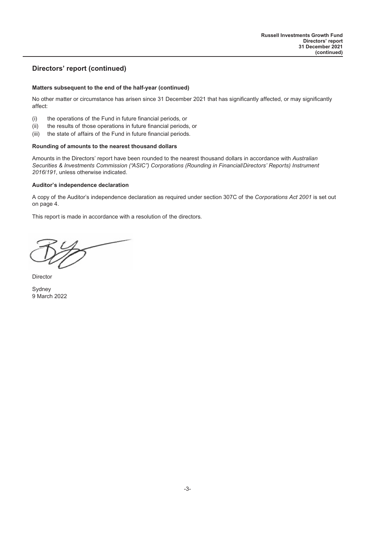## **Directors' report (continued)**

#### **Matters subsequent to the end of the half-year (continued)**

No other matter or circumstance has arisen since 31 December 2021 that has significantly affected, or may significantly affect:

- (i) the operations of the Fund in future financial periods, or
- (ii) the results of those operations in future financial periods, or
- (iii) the state of affairs of the Fund in future financial periods.

#### **Rounding of amounts to the nearest thousand dollars**

Amounts in the Directors' report have been rounded to the nearest thousand dollars in accordance with *Australian Securities & Investments Commission ("ASIC") Corporations (Rounding in Financial/Directors' Reports) Instrument 2016/191*, unless otherwise indicated.

#### **Auditor's independence declaration**

A copy of the Auditor's independence declaration as required under section 307C of the *Corporations Act 2001* is set out on page 4.

This report is made in accordance with a resolution of the directors.

**Director** 

Sydney 9 March 2022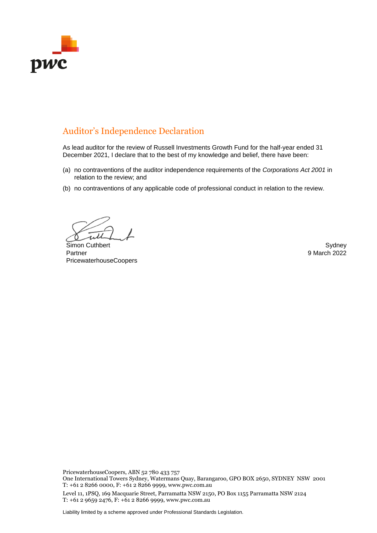

## Auditor's Independence Declaration

As lead auditor for the review of Russell Investments Growth Fund for the half-year ended 31 December 2021, I declare that to the best of my knowledge and belief, there have been:

- (a) no contraventions of the auditor independence requirements of the *Corporations Act 2001* in relation to the review; and
- (b) no contraventions of any applicable code of professional conduct in relation to the review.

Simon Cuthbert Simon Cuthbert Sydney Partner PricewaterhouseCoopers

9 March 2022

PricewaterhouseCoopers, ABN 52 780 433 757

One International Towers Sydney, Watermans Quay, Barangaroo, GPO BOX 2650, SYDNEY NSW 2001 T: +61 2 8266 0000, F: +61 2 8266 9999, www.pwc.com.au

Level 11, 1PSQ, 169 Macquarie Street, Parramatta NSW 2150, PO Box 1155 Parramatta NSW 2124 T: +61 2 9659 2476, F: +61 2 8266 9999, www.pwc.com.au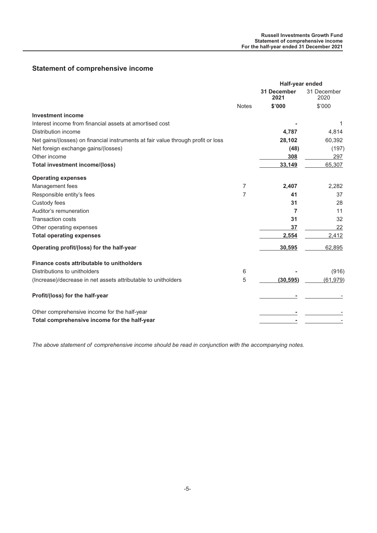## <span id="page-5-0"></span>**Statement of comprehensive income**

|                                                                                  |                | Half-year ended            |                     |  |
|----------------------------------------------------------------------------------|----------------|----------------------------|---------------------|--|
|                                                                                  |                | <b>31 December</b><br>2021 | 31 December<br>2020 |  |
|                                                                                  | <b>Notes</b>   | \$'000                     | \$'000              |  |
| <b>Investment income</b>                                                         |                |                            |                     |  |
| Interest income from financial assets at amortised cost                          |                |                            | 1                   |  |
| Distribution income                                                              |                | 4,787                      | 4,814               |  |
| Net gains/(losses) on financial instruments at fair value through profit or loss |                | 28,102                     | 60,392              |  |
| Net foreign exchange gains/(losses)                                              |                | (48)                       | (197)               |  |
| Other income                                                                     |                | 308                        | 297                 |  |
| <b>Total investment income/(loss)</b>                                            |                | 33,149                     | 65,307              |  |
| <b>Operating expenses</b>                                                        |                |                            |                     |  |
| Management fees                                                                  | $\overline{7}$ | 2,407                      | 2,282               |  |
| Responsible entity's fees                                                        | $\overline{7}$ | 41                         | 37                  |  |
| Custody fees                                                                     |                | 31                         | 28                  |  |
| Auditor's remuneration                                                           |                | 7                          | 11                  |  |
| <b>Transaction costs</b>                                                         |                | 31                         | 32                  |  |
| Other operating expenses                                                         |                | 37                         | 22                  |  |
| <b>Total operating expenses</b>                                                  |                | 2,554                      | 2,412               |  |
| Operating profit/(loss) for the half-year                                        |                | 30,595                     | 62,895              |  |
| Finance costs attributable to unitholders                                        |                |                            |                     |  |
| Distributions to unitholders                                                     | 6              |                            | (916)               |  |
| (Increase)/decrease in net assets attributable to unitholders                    | 5              | (30, 595)                  | (61, 979)           |  |
| Profit/(loss) for the half-year                                                  |                |                            |                     |  |
| Other comprehensive income for the half-year                                     |                |                            |                     |  |
| Total comprehensive income for the half-year                                     |                |                            |                     |  |

*The above statement of comprehensive income should be read in conjunction with the accompanying notes.*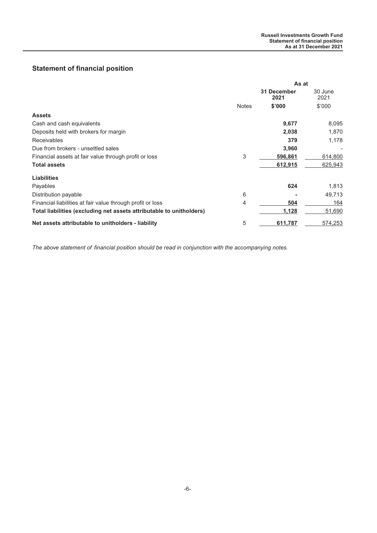## <span id="page-6-0"></span>**Statement of financial position**

|                                                                      | As at        |                     |                 |
|----------------------------------------------------------------------|--------------|---------------------|-----------------|
|                                                                      |              | 31 December<br>2021 | 30 June<br>2021 |
|                                                                      | <b>Notes</b> | \$'000              | \$'000          |
| <b>Assets</b>                                                        |              |                     |                 |
| Cash and cash equivalents                                            |              | 9,677               | 8,095           |
| Deposits held with brokers for margin                                |              | 2,038               | 1,870           |
| <b>Receivables</b>                                                   |              | 379                 | 1,178           |
| Due from brokers - unsettled sales                                   |              | 3,960               |                 |
| Financial assets at fair value through profit or loss                | 3            | 596,861             | 614,800         |
| <b>Total assets</b>                                                  |              | 612,915             | 625,943         |
| <b>Liabilities</b>                                                   |              |                     |                 |
| Payables                                                             |              | 624                 | 1,813           |
| Distribution payable                                                 | 6            |                     | 49,713          |
| Financial liabilities at fair value through profit or loss           | 4            | 504                 | 164             |
| Total liabilities (excluding net assets attributable to unitholders) |              | 1,128               | 51,690          |
| Net assets attributable to unitholders - liability                   | 5            | 611,787             | 574,253         |

*The above statement of financial position should be read in conjunction with the accompanying notes.*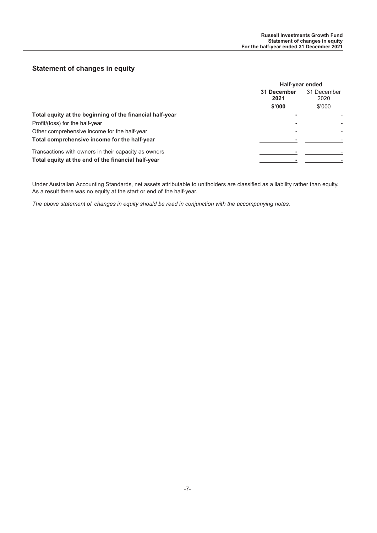## <span id="page-7-0"></span>**Statement of changes in equity**

|                                                          | Half-year ended                            |        |  |
|----------------------------------------------------------|--------------------------------------------|--------|--|
|                                                          | 31 December<br>31 December<br>2020<br>2021 |        |  |
|                                                          | \$'000                                     | \$'000 |  |
| Total equity at the beginning of the financial half-year |                                            |        |  |
| Profit/(loss) for the half-year                          |                                            |        |  |
| Other comprehensive income for the half-year             |                                            |        |  |
| Total comprehensive income for the half-year             |                                            |        |  |
| Transactions with owners in their capacity as owners     |                                            |        |  |
| Total equity at the end of the financial half-year       |                                            |        |  |

Under Australian Accounting Standards, net assets attributable to unitholders are classified as a liability rather than equity. As a result there was no equity at the start or end of the half-year.

*The above statement of changes in equity should be read in conjunction with the accompanying notes.*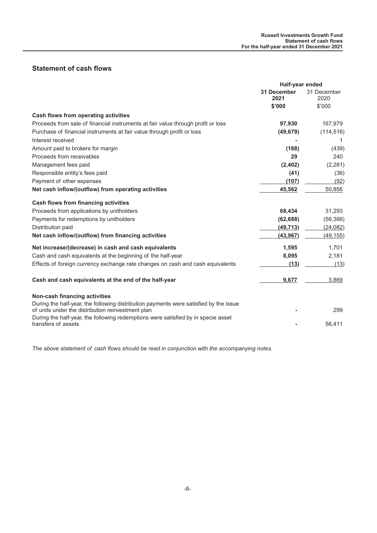## <span id="page-8-0"></span>**Statement of cash flows**

|                                                                                                                                            | Half-year ended            |                     |
|--------------------------------------------------------------------------------------------------------------------------------------------|----------------------------|---------------------|
|                                                                                                                                            | <b>31 December</b><br>2021 | 31 December<br>2020 |
|                                                                                                                                            | \$'000                     | \$'000              |
| <b>Cash flows from operating activities</b>                                                                                                |                            |                     |
| Proceeds from sale of financial instruments at fair value through profit or loss                                                           | 97,930                     | 167,979             |
| Purchase of financial instruments at fair value through profit or loss                                                                     | (49, 679)                  | (114, 516)          |
| Interest received                                                                                                                          |                            |                     |
| Amount paid to brokers for margin                                                                                                          | (168)                      | (439)               |
| Proceeds from receivables                                                                                                                  | 29                         | 240                 |
| Management fees paid                                                                                                                       | (2, 402)                   | (2, 281)            |
| Responsible entity's fees paid                                                                                                             | (41)                       | (36)                |
| Payment of other expenses                                                                                                                  | (107)                      | (92)                |
| Net cash inflow/(outflow) from operating activities                                                                                        | 45,562                     | 50,856              |
| <b>Cash flows from financing activities</b>                                                                                                |                            |                     |
| Proceeds from applications by unitholders                                                                                                  | 68,434                     | 31,293              |
| Payments for redemptions by unitholders                                                                                                    | (62, 688)                  | (56, 366)           |
| Distribution paid                                                                                                                          | (49, 713)                  | (24, 082)           |
| Net cash inflow/(outflow) from financing activities                                                                                        | (43, 967)                  | (49, 155)           |
| Net increase/(decrease) in cash and cash equivalents                                                                                       | 1,595                      | 1,701               |
| Cash and cash equivalents at the beginning of the half-year                                                                                | 8,095                      | 2,181               |
| Effects of foreign currency exchange rate changes on cash and cash equivalents                                                             | (13)                       | (13)                |
| Cash and cash equivalents at the end of the half-year                                                                                      | 9,677                      | 3,869               |
| Non-cash financing activities                                                                                                              |                            |                     |
| During the half-year, the following distribution payments were satisfied by the issue<br>of units under the distribution reinvestment plan |                            | 299                 |
| During the half-year, the following redemptions were satisfied by in specie asset<br>transfers of assets                                   |                            | 56,411              |
|                                                                                                                                            |                            |                     |

*The above statement of cash flows should be read in conjunction with the accompanying notes.*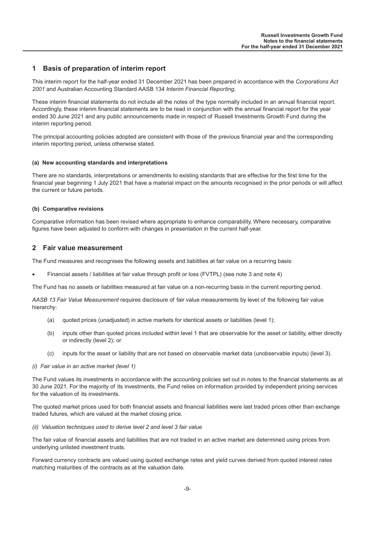### <span id="page-9-0"></span>**1 Basis of preparation of interim report**

This interim report for the half-year ended 31 December 2021 has been prepared in accordance with the *Corporations Act 2001* and Australian Accounting Standard AASB 134 *Interim Financial Reporting*.

These interim financial statements do not include all the notes of the type normally included in an annual financial report. Accordingly, these interim financial statements are to be read in conjunction with the annual financial report for the year ended 30 June 2021 and any public announcements made in respect of Russell Investments Growth Fund during the interim reporting period.

The principal accounting policies adopted are consistent with those of the previous financial year and the corresponding interim reporting period, unless otherwise stated.

#### **(a) New accounting standards and interpretations**

There are no standards, interpretations or amendments to existing standards that are effective for the first time for the financial year beginning 1 July 2021 that have a material impact on the amounts recognised in the prior periods or will affect the current or future periods.

#### **(b) Comparative revisions**

Comparative information has been revised where appropriate to enhance comparability. Where necessary, comparative figures have been adjusted to conform with changes in presentation in the current half-year.

#### **2 Fair value measurement**

The Fund measures and recognises the following assets and liabilities at fair value on a recurring basis:

• Financial assets / liabilities at fair value through profit or loss (FVTPL) (see note 3 and note 4)

The Fund has no assets or liabilities measured at fair value on a non-recurring basis in the current reporting period.

*AASB 13 Fair Value Measurement* requires disclosure of fair value measurements by level of the following fair value hierarchy:

- (a) quoted prices (unadjusted) in active markets for identical assets or liabilities (level 1);
- (b) inputs other than quoted prices included within level 1 that are observable for the asset or liability, either directly or indirectly (level 2); or
- (c) inputs for the asset or liability that are not based on observable market data (unobservable inputs) (level 3).

#### *(i) Fair value in an active market (level 1)*

The Fund values its investments in accordance with the accounting policies set out in notes to the financial statements as at 30 June 2021. For the majority of its investments, the Fund relies on information provided by independent pricing services for the valuation of its investments.

The quoted market prices used for both financial assets and financial liabilities were last traded prices other than exchange traded futures, which are valued at the market closing price.

#### *(ii) Valuation techniques used to derive level 2 and level 3 fair value*

The fair value of financial assets and liabilities that are not traded in an active market are determined using prices from underlying unlisted investment trusts.

Forward currency contracts are valued using quoted exchange rates and yield curves derived from quoted interest rates matching maturities of the contracts as at the valuation date.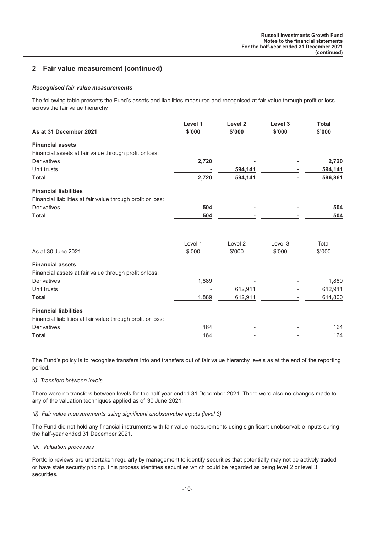## **2 Fair value measurement (continued)**

#### *Recognised fair value measurements*

The following table presents the Fund's assets and liabilities measured and recognised at fair value through profit or loss across the fair value hierarchy.

| As at 31 December 2021                                      | Level 1<br>\$'000 | Level <sub>2</sub><br>\$'000 | Level 3<br>\$'000 | <b>Total</b><br>\$'000 |
|-------------------------------------------------------------|-------------------|------------------------------|-------------------|------------------------|
| <b>Financial assets</b>                                     |                   |                              |                   |                        |
| Financial assets at fair value through profit or loss:      |                   |                              |                   |                        |
| Derivatives                                                 | 2,720             |                              |                   | 2,720                  |
| Unit trusts                                                 |                   | 594,141                      |                   | 594,141                |
| <b>Total</b>                                                | 2,720             | 594,141                      |                   | 596,861                |
| <b>Financial liabilities</b>                                |                   |                              |                   |                        |
| Financial liabilities at fair value through profit or loss: |                   |                              |                   |                        |
| Derivatives                                                 | 504               |                              |                   | 504                    |
| <b>Total</b>                                                | 504               |                              |                   | 504                    |
|                                                             | Level 1           | Level <sub>2</sub>           | Level 3           | Total                  |
| As at 30 June 2021                                          | \$'000            | \$'000                       | \$'000            | \$'000                 |
| <b>Financial assets</b>                                     |                   |                              |                   |                        |
| Financial assets at fair value through profit or loss:      |                   |                              |                   |                        |
| <b>Derivatives</b>                                          | 1,889             |                              |                   | 1,889                  |
| Unit trusts                                                 |                   | 612,911                      |                   | 612,911                |
| <b>Total</b>                                                | 1,889             | 612,911                      |                   | 614,800                |
| <b>Financial liabilities</b>                                |                   |                              |                   |                        |
| Financial liabilities at fair value through profit or loss: |                   |                              |                   |                        |
| <b>Derivatives</b>                                          | 164               |                              |                   | 164                    |
| <b>Total</b>                                                | 164               |                              |                   | 164                    |

The Fund's policy is to recognise transfers into and transfers out of fair value hierarchy levels as at the end of the reporting period.

*(i) Transfers between levels*

There were no transfers between levels for the half-year ended 31 December 2021. There were also no changes made to any of the valuation techniques applied as of 30 June 2021.

*(ii) Fair value measurements using significant unobservable inputs (level 3)*

The Fund did not hold any financial instruments with fair value measurements using significant unobservable inputs during the half-year ended 31 December 2021.

*(iii) Valuation processes*

Portfolio reviews are undertaken regularly by management to identify securities that potentially may not be actively traded or have stale security pricing. This process identifies securities which could be regarded as being level 2 or level 3 securities.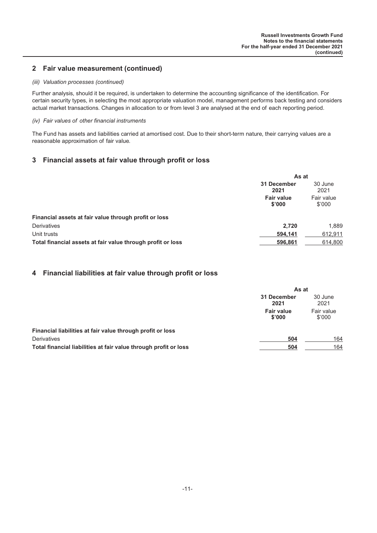## **2 Fair value measurement (continued)**

#### *(iii) Valuation processes (continued)*

Further analysis, should it be required, is undertaken to determine the accounting significance of the identification. For certain security types, in selecting the most appropriate valuation model, management performs back testing and considers actual market transactions. Changes in allocation to or from level 3 are analysed at the end of each reporting period.

#### *(iv) Fair values of other financial instruments*

The Fund has assets and liabilities carried at amortised cost. Due to their short-term nature, their carrying values are a reasonable approximation of fair value.

## **3 Financial assets at fair value through profit or loss**

|                                                             | As at                       |                      |
|-------------------------------------------------------------|-----------------------------|----------------------|
|                                                             | 31 December<br>2021         | 30 June<br>2021      |
|                                                             | <b>Fair value</b><br>\$'000 | Fair value<br>\$'000 |
| Financial assets at fair value through profit or loss       |                             |                      |
| Derivatives                                                 | 2.720                       | 1,889                |
| Unit trusts                                                 | 594.141                     | 612.911              |
| Total financial assets at fair value through profit or loss | 596.861                     | 614,800              |

#### **4 Financial liabilities at fair value through profit or loss**

|                                                                  | As at                       |                      |
|------------------------------------------------------------------|-----------------------------|----------------------|
|                                                                  | 31 December<br>2021         | 30 June<br>2021      |
|                                                                  | <b>Fair value</b><br>\$'000 | Fair value<br>\$'000 |
| Financial liabilities at fair value through profit or loss       |                             |                      |
| <b>Derivatives</b>                                               | 504                         | 164                  |
| Total financial liabilities at fair value through profit or loss | 504                         | 164                  |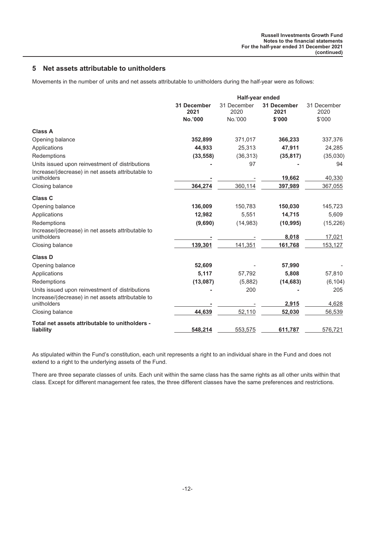## **5 Net assets attributable to unitholders**

Movements in the number of units and net assets attributable to unitholders during the half-year were as follows:

|                                                                  | Half-year ended     |                     |                            |                     |
|------------------------------------------------------------------|---------------------|---------------------|----------------------------|---------------------|
|                                                                  | 31 December<br>2021 | 31 December<br>2020 | <b>31 December</b><br>2021 | 31 December<br>2020 |
|                                                                  | No.'000             | No.'000             | \$'000                     | \$'000              |
| <b>Class A</b>                                                   |                     |                     |                            |                     |
| Opening balance                                                  | 352,899             | 371,017             | 366,233                    | 337,376             |
| Applications                                                     | 44,933              | 25,313              | 47,911                     | 24,285              |
| Redemptions                                                      | (33, 558)           | (36, 313)           | (35, 817)                  | (35,030)            |
| Units issued upon reinvestment of distributions                  |                     | 97                  |                            | 94                  |
| Increase/(decrease) in net assets attributable to<br>unitholders |                     |                     | 19,662                     | 40,330              |
| Closing balance                                                  | 364,274             | 360,114             | 397,989                    | 367,055             |
| <b>Class C</b>                                                   |                     |                     |                            |                     |
| Opening balance                                                  | 136,009             | 150,783             | 150,030                    | 145,723             |
| Applications                                                     | 12,982              | 5,551               | 14,715                     | 5,609               |
| Redemptions                                                      | (9,690)             | (14, 983)           | (10, 995)                  | (15, 226)           |
| Increase/(decrease) in net assets attributable to<br>unitholders |                     |                     | 8,018                      | 17,021              |
| Closing balance                                                  | 139,301             | 141,351             | 161,768                    | 153,127             |
| <b>Class D</b>                                                   |                     |                     |                            |                     |
| Opening balance                                                  | 52,609              |                     | 57,990                     |                     |
| Applications                                                     | 5,117               | 57,792              | 5,808                      | 57,810              |
| Redemptions                                                      | (13,087)            | (5,882)             | (14, 683)                  | (6, 104)            |
| Units issued upon reinvestment of distributions                  |                     | 200                 |                            | 205                 |
| Increase/(decrease) in net assets attributable to<br>unitholders |                     |                     | 2,915                      | 4,628               |
| Closing balance                                                  | 44,639              | 52,110              | 52,030                     | 56,539              |
| Total net assets attributable to unitholders -                   |                     |                     |                            |                     |
| liability                                                        | 548,214             | 553,575             | 611,787                    | 576,721             |

As stipulated within the Fund's constitution, each unit represents a right to an individual share in the Fund and does not extend to a right to the underlying assets of the Fund.

There are three separate classes of units. Each unit within the same class has the same rights as all other units within that class. Except for different management fee rates, the three different classes have the same preferences and restrictions.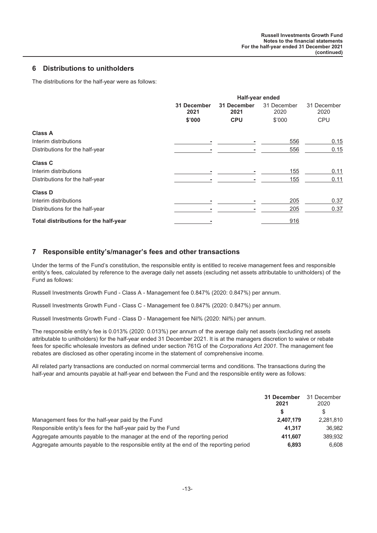### **6 Distributions to unitholders**

The distributions for the half-year were as follows:

|                                       | Half-year ended     |                     |                     |                     |
|---------------------------------------|---------------------|---------------------|---------------------|---------------------|
|                                       | 31 December<br>2021 | 31 December<br>2021 | 31 December<br>2020 | 31 December<br>2020 |
|                                       | \$'000              | <b>CPU</b>          | \$'000              | <b>CPU</b>          |
| <b>Class A</b>                        |                     |                     |                     |                     |
| Interim distributions                 |                     |                     | 556                 | 0.15                |
| Distributions for the half-year       |                     |                     | 556                 | 0.15                |
| <b>Class C</b>                        |                     |                     |                     |                     |
| Interim distributions                 |                     |                     | 155                 | 0.11                |
| Distributions for the half-year       |                     |                     | 155                 | 0.11                |
| <b>Class D</b>                        |                     |                     |                     |                     |
| Interim distributions                 |                     |                     | 205                 | 0.37                |
| Distributions for the half-year       |                     |                     | 205                 | 0.37                |
| Total distributions for the half-year |                     |                     | 916                 |                     |

## **7 Responsible entity's/manager's fees and other transactions**

Under the terms of the Fund's constitution, the responsible entity is entitled to receive management fees and responsible entity's fees, calculated by reference to the average daily net assets (excluding net assets attributable to unitholders) of the Fund as follows:

Russell Investments Growth Fund - Class A - Management fee 0.847% (2020: 0.847%) per annum.

Russell Investments Growth Fund - Class C - Management fee 0.847% (2020: 0.847%) per annum.

Russell Investments Growth Fund - Class D - Management fee Nil% (2020: Nil%) per annum.

The responsible entity's fee is 0.013% (2020: 0.013%) per annum of the average daily net assets (excluding net assets attributable to unitholders) for the half-year ended 31 December 2021. It is at the managers discretion to waive or rebate fees for specific wholesale investors as defined under section 761G of the *Corporations Act 2001*. The management fee rebates are disclosed as other operating income in the statement of comprehensive income.

All related party transactions are conducted on normal commercial terms and conditions. The transactions during the half-year and amounts payable at half-year end between the Fund and the responsible entity were as follows:

|                                                                                        | 31 December<br>2021 | 31 December<br>2020 |
|----------------------------------------------------------------------------------------|---------------------|---------------------|
|                                                                                        |                     | S                   |
| Management fees for the half-year paid by the Fund                                     | 2.407.179           | 2.281.810           |
| Responsible entity's fees for the half-year paid by the Fund                           | 41.317              | 36.982              |
| Aggregate amounts payable to the manager at the end of the reporting period            | 411.607             | 389.932             |
| Aggregate amounts payable to the responsible entity at the end of the reporting period | 6.893               | 6.608               |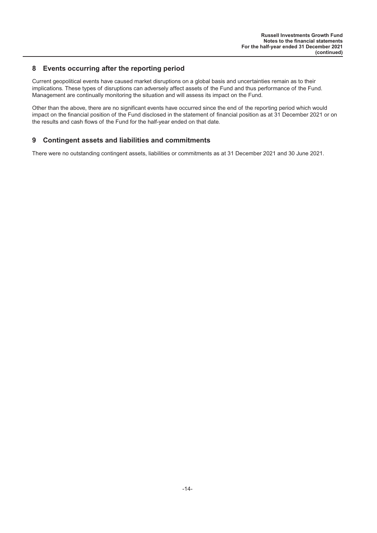## **8 Events occurring after the reporting period**

Current geopolitical events have caused market disruptions on a global basis and uncertainties remain as to their implications. These types of disruptions can adversely affect assets of the Fund and thus performance of the Fund. Management are continually monitoring the situation and will assess its impact on the Fund.

Other than the above, there are no significant events have occurred since the end of the reporting period which would impact on the financial position of the Fund disclosed in the statement of financial position as at 31 December 2021 or on the results and cash flows of the Fund for the half-year ended on that date.

## **9 Contingent assets and liabilities and commitments**

There were no outstanding contingent assets, liabilities or commitments as at 31 December 2021 and 30 June 2021.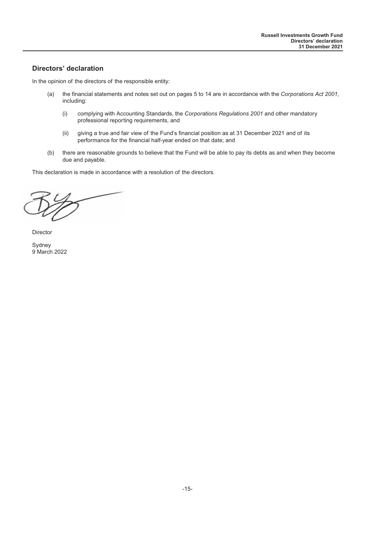## <span id="page-15-0"></span>**Directors' declaration**

In the opinion of the directors of the responsible entity:

- (a) the financial statements and notes set out on pages 5 to 14 are in accordance with the *Corporations Act 2001*, including:
	- (i) complying with Accounting Standards, the *Corporations Regulations 2001* and other mandatory professional reporting requirements, and
	- (ii) giving a true and fair view of the Fund's financial position as at 31 December 2021 and of its performance for the financial half-year ended on that date; and
- (b) there are reasonable grounds to believe that the Fund will be able to pay its debts as and when they become due and payable.

This declaration is made in accordance with a resolution of the directors.

Director

Sydney 9 March 2022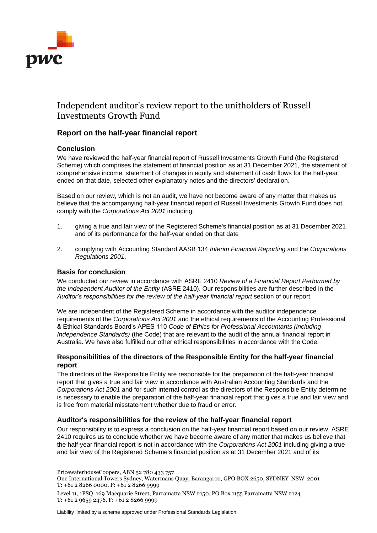

## Independent auditor's review report to the unitholders of Russell Investments Growth Fund

## **Report on the half-year financial report**

## **Conclusion**

We have reviewed the half-year financial report of Russell Investments Growth Fund (the Registered Scheme) which comprises the statement of financial position as at 31 December 2021, the statement of comprehensive income, statement of changes in equity and statement of cash flows for the half-year ended on that date, selected other explanatory notes and the directors' declaration.

Based on our review, which is not an audit, we have not become aware of any matter that makes us believe that the accompanying half-year financial report of Russell Investments Growth Fund does not comply with the *Corporations Act 2001* including:

- 1. giving a true and fair view of the Registered Scheme's financial position as at 31 December 2021 and of its performance for the half-year ended on that date
- 2. complying with Accounting Standard AASB 134 *Interim Financial Reporting* and the *Corporations Regulations 2001*.

#### **Basis for conclusion**

We conducted our review in accordance with ASRE 2410 *Review of a Financial Report Performed by the Independent Auditor of the Entity* (ASRE 2410). Our responsibilities are further described in the *Auditor's responsibilities for the review of the half-year financial report* section of our report.

We are independent of the Registered Scheme in accordance with the auditor independence requirements of the *Corporations Act 2001* and the ethical requirements of the Accounting Professional & Ethical Standards Board's APES 110 *Code of Ethics for Professional Accountants (including Independence Standards)* (the Code) that are relevant to the audit of the annual financial report in Australia. We have also fulfilled our other ethical responsibilities in accordance with the Code.

### **Responsibilities of the directors of the Responsible Entity for the half-year financial report**

The directors of the Responsible Entity are responsible for the preparation of the half-year financial report that gives a true and fair view in accordance with Australian Accounting Standards and the *Corporations Act 2001* and for such internal control as the directors of the Responsible Entity determine is necessary to enable the preparation of the half-year financial report that gives a true and fair view and is free from material misstatement whether due to fraud or error.

#### **Auditor's responsibilities for the review of the half-year financial report**

Our responsibility is to express a conclusion on the half-year financial report based on our review. ASRE 2410 requires us to conclude whether we have become aware of any matter that makes us believe that the half-year financial report is not in accordance with the *Corporations Act 2001* including giving a true and fair view of the Registered Scheme's financial position as at 31 December 2021 and of its

PricewaterhouseCoopers, ABN 52 780 433 757

One International Towers Sydney, Watermans Quay, Barangaroo, GPO BOX 2650, SYDNEY NSW 2001 T: +61 2 8266 0000, F: +61 2 8266 9999

Level 11, 1PSQ, 169 Macquarie Street, Parramatta NSW 2150, PO Box 1155 Parramatta NSW 2124 T: +61 2 9659 2476, F: +61 2 8266 9999

Liability limited by a scheme approved under Professional Standards Legislation.